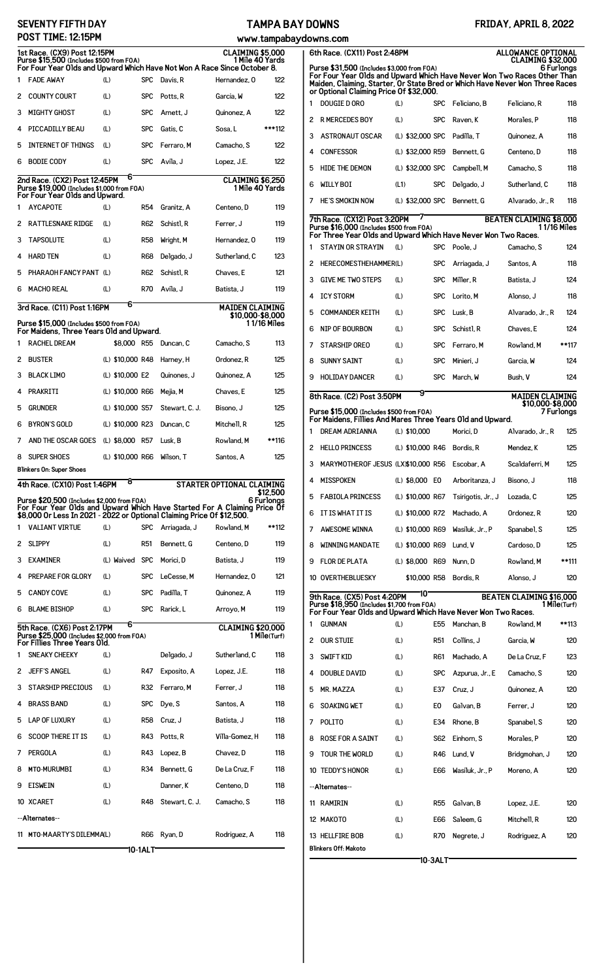## **SEVENTY FIFTH DAY POST TIME: 12:15PM**

## **TAMPA BAY DOWNS**

| tampabaydowns.com |  |
|-------------------|--|

| POST TIME: 12:15PM<br>www.tampabay                                                                                                                                                                 |                                                                                                                                                                                                  |     |                  |                 |                |                                            |              |
|----------------------------------------------------------------------------------------------------------------------------------------------------------------------------------------------------|--------------------------------------------------------------------------------------------------------------------------------------------------------------------------------------------------|-----|------------------|-----------------|----------------|--------------------------------------------|--------------|
| <b>CLAIMING \$5,000</b><br>1st Race. (CX9) Post 12:15PM<br>Purse \$15,500 (Includes \$500 from FOA)<br>1 Mile 40 Yards<br>For Four Year Olds and Upward Which Have Not Won A Race Since October 8. |                                                                                                                                                                                                  |     |                  |                 |                |                                            |              |
| 1                                                                                                                                                                                                  | <b>FADE AWAY</b>                                                                                                                                                                                 | (L) |                  | <b>SPC</b>      | Davis, R       | Hernandez, 0                               | 122          |
| 2                                                                                                                                                                                                  | <b>COUNTY COURT</b>                                                                                                                                                                              | (L) |                  | <b>SPC</b>      | Potts.R        | Garcia. W                                  | 122          |
| 3                                                                                                                                                                                                  | <b>MIGHTY GHOST</b>                                                                                                                                                                              | (L) |                  | <b>SPC</b>      | Arnett, J      | Quinonez, A                                | 122          |
| 4                                                                                                                                                                                                  | PICCADILLY BEAU                                                                                                                                                                                  | (L) |                  | <b>SPC</b>      | Gatis, C       | Sosa. L                                    | ***112       |
| 5                                                                                                                                                                                                  | <b>INTERNET OF THINGS</b>                                                                                                                                                                        | (L) |                  | <b>SPC</b>      | Ferraro, M     | Camacho, S                                 | 122          |
| 6                                                                                                                                                                                                  | <b>BODIE CODY</b>                                                                                                                                                                                | (L) |                  | <b>SPC</b>      | Avila, J       | Lopez, J.E.                                | 122          |
|                                                                                                                                                                                                    | 2nd Race. (CX2) Post 12:45PM<br>Purse \$19,000 (Includes \$1,000 from FOA)                                                                                                                       |     | 6                |                 |                | <b>CLAIMING \$6,250</b><br>1 Mile 40 Yards |              |
| 1                                                                                                                                                                                                  | For Four Year Olds and Upward.<br><b>AYCAPOTE</b>                                                                                                                                                | (L) |                  | <b>R54</b>      | Granitz. A     | Centeno, D                                 | 119          |
| 2                                                                                                                                                                                                  | <b>RATTLESNAKE RIDGE</b>                                                                                                                                                                         | (L) |                  | R62             | Schist1, R     | Ferrer. J                                  | 119          |
| 3                                                                                                                                                                                                  | <b>TAPSOLUTE</b>                                                                                                                                                                                 | (L) |                  | <b>R58</b>      | Wright, M      | Hernandez, 0                               | 119          |
| 4                                                                                                                                                                                                  | <b>HARD TEN</b>                                                                                                                                                                                  | (L) |                  | R68             | Delgado, J     | Sutherland, C                              | 123          |
| 5                                                                                                                                                                                                  | PHARAOH FANCY PANT (L)                                                                                                                                                                           |     |                  | R62             | Schist1, R     | Chaves. E                                  | 121          |
| 6                                                                                                                                                                                                  | <b>MACHO REAL</b>                                                                                                                                                                                | (L) |                  | <b>R70</b>      | Avila, J       | Batista. J                                 | 119          |
|                                                                                                                                                                                                    | 3rd Race. (C11) Post 1:16PM                                                                                                                                                                      |     | 6                |                 |                | <b>MAIDEN CLAIMING</b><br>\$10,000-\$8,000 |              |
|                                                                                                                                                                                                    | Purse \$15,000 (Includes \$500 from FOA)<br>For Maidens, Three Years Old and Upward.                                                                                                             |     |                  |                 |                |                                            | 1 1/16 Miles |
| 1                                                                                                                                                                                                  | <b>RACHEL DREAM</b>                                                                                                                                                                              |     | \$8,000 R55      |                 | Duncan, C      | Camacho, S                                 | 113          |
| 2                                                                                                                                                                                                  | <b>BUSTER</b>                                                                                                                                                                                    |     | (L) \$10,000 R48 |                 | Harney, H      | Ordonez, R                                 | 125          |
| 3                                                                                                                                                                                                  | <b>BLACK LIMO</b>                                                                                                                                                                                |     | (L) \$10,000 E2  |                 | Quinones, J    | Quinonez, A                                | 125          |
| 4                                                                                                                                                                                                  | PRAKRITI                                                                                                                                                                                         |     | (L) \$10,000 R66 |                 | Mejia, M       | Chaves. E                                  | 125          |
| 5                                                                                                                                                                                                  | <b>GRUNDER</b>                                                                                                                                                                                   |     | (L) \$10,000 S57 |                 | Stewart, C. J. | Bisono. J                                  | 125          |
| 6                                                                                                                                                                                                  | <b>BYRON'S GOLD</b>                                                                                                                                                                              |     | (L) \$10,000 R23 |                 | Duncan, C      | Mitchell, R                                | 125          |
| 7                                                                                                                                                                                                  | AND THE OSCAR GOES                                                                                                                                                                               |     | (L) \$8,000 R57  |                 | Lusk, B        | Rowland, M                                 | **116        |
| 8                                                                                                                                                                                                  | <b>SUPER SHOES</b>                                                                                                                                                                               |     | (L) \$10,000 R66 |                 | Wilson, T      | Santos, A                                  | 125          |
|                                                                                                                                                                                                    | Blinkers On: Super Shoes                                                                                                                                                                         |     |                  |                 |                |                                            |              |
|                                                                                                                                                                                                    | 4th Race. (CX10) Post 1:46PM                                                                                                                                                                     |     | 8                |                 |                | STARTER OPTIONAL CLAIMING                  | \$12.500     |
|                                                                                                                                                                                                    | Purse \$20,500 (Includes \$2,000 from FOA)<br>For Four Year Olds and Upward Which Have Started For A Claiming Price Of<br>\$8,000 Or Less In 2021 - 2022 or Optional Claiming Price Of \$12,500. |     |                  |                 |                |                                            | 6 Furlonas   |
| 1                                                                                                                                                                                                  | <b>VALIANT VIRTUE</b>                                                                                                                                                                            | (L) |                  | <b>SPC</b>      | Arriagada, J   | Rowland, M                                 | **112        |
| 2                                                                                                                                                                                                  | <b>SLIPPY</b>                                                                                                                                                                                    | (L) |                  | R <sub>51</sub> | Bennett, G     | Centeno. D                                 | 119          |
| 3                                                                                                                                                                                                  | <b>EXAMINER</b>                                                                                                                                                                                  |     | (L) Waived SPC   |                 | Morici, D      | Batista. J                                 | 119          |
| 4                                                                                                                                                                                                  | PREPARE FOR GLORY                                                                                                                                                                                | (L) |                  | <b>SPC</b>      | LeCesse. M     | Hernandez, 0                               | 121          |
| 5                                                                                                                                                                                                  | <b>CANDY COVE</b>                                                                                                                                                                                | (L) |                  | <b>SPC</b>      | Padilla. T     | Quinonez, A                                | 119          |
| 6                                                                                                                                                                                                  | <b>BLAME BISHOP</b>                                                                                                                                                                              | (L) |                  | <b>SPC</b>      | Rarick.L       | Arroyo, M                                  | 119          |
|                                                                                                                                                                                                    | 5th Race. (CX6) Post 2:17PM<br>Purse \$25,000 (Includes \$2,000 from F0A)<br>For Fillies Three Years Old.                                                                                        |     | 6                |                 |                | <b>CLAIMING \$20,000</b>                   | 1 Mile(Turf) |
| 1                                                                                                                                                                                                  | <b>SNEAKY CHEEKY</b>                                                                                                                                                                             | (L) |                  |                 | Delgado, J     | Sutherland. C                              | 118          |
| 2                                                                                                                                                                                                  | <b>JEFF'S ANGEL</b>                                                                                                                                                                              | (L) |                  | R47             | Exposito, A    | Lopez, J.E.                                | 118          |
| 3                                                                                                                                                                                                  | <b>STARSHIP PRECIOUS</b>                                                                                                                                                                         | (L) |                  | R32             | Ferraro, M     | Ferrer, J                                  | 118          |
| 4                                                                                                                                                                                                  | <b>BRASS BAND</b>                                                                                                                                                                                | (L) |                  | <b>SPC</b>      | Dye, S         | Santos, A                                  | 118          |
| 5                                                                                                                                                                                                  | <b>LAP OF LUXURY</b>                                                                                                                                                                             | (L) |                  | R58             | Cruz, J        | Batista. J                                 | 118          |
| 6                                                                                                                                                                                                  | <b>SCOOP THERE IT IS</b>                                                                                                                                                                         | (L) |                  | R43             | Potts, R       | Villa-Gomez, H                             | 118          |
| 7                                                                                                                                                                                                  | PERGOLA                                                                                                                                                                                          | (L) |                  | R43             | Lopez, B       | Chavez, D                                  | 118          |
| 8                                                                                                                                                                                                  | MTO-MURUMBI                                                                                                                                                                                      | (L) |                  | R34             | Bennett, G     | De La Cruz, F                              | 118          |
| 9                                                                                                                                                                                                  | <b>EISWEIN</b>                                                                                                                                                                                   | (L) |                  |                 | Danner, K      | Centeno. D                                 | 118          |
|                                                                                                                                                                                                    | 10 XCARET                                                                                                                                                                                        | (L) |                  | R48             | Stewart, C. J. | Camacho, S                                 | 118          |
|                                                                                                                                                                                                    | --Alternates--                                                                                                                                                                                   |     |                  |                 |                |                                            |              |
|                                                                                                                                                                                                    | 11 MTO-MAARTY'S DILEMMAL)                                                                                                                                                                        |     |                  | <b>R66</b>      | Ryan, D        | Rodriguez, A                               | 118          |
|                                                                                                                                                                                                    |                                                                                                                                                                                                  |     |                  | 10-1ALT         |                |                                            |              |

|                                                                                                                                                                                                                                                                                            | 6th Race. (CX11) Post 2:48PM<br><b>ALLOWANCE OPTIONAL</b>                                                   |                  |                 |                               |                                 |              |
|--------------------------------------------------------------------------------------------------------------------------------------------------------------------------------------------------------------------------------------------------------------------------------------------|-------------------------------------------------------------------------------------------------------------|------------------|-----------------|-------------------------------|---------------------------------|--------------|
| <b>CLAIMING \$32,000</b><br>Purse \$31,500 (Includes \$3,000 from FOA)<br>6 Furlongs<br>For Four Year Olds and Upward Which Have Never Won Two Races Other Than<br>Maiden, Claiming, Starter, Or State Bred or Which Have Never Won Three Races<br>or Optional Claiming Price Of \$32,000. |                                                                                                             |                  |                 |                               |                                 |              |
| 1                                                                                                                                                                                                                                                                                          | DOUGIE D ORO                                                                                                | (L)              | <b>SPC</b>      | Feliciano. B                  | Feliciano. R                    | 118          |
| 2                                                                                                                                                                                                                                                                                          | <b>R MERCEDES BOY</b>                                                                                       | (L)              | <b>SPC</b>      | Raven. K                      | Morales, P                      | 118          |
| 3                                                                                                                                                                                                                                                                                          | <b>ASTRONAUT OSCAR</b>                                                                                      | (L) \$32,000 SPC |                 | Padilla, T                    | Quinonez, A                     | 118          |
| 4                                                                                                                                                                                                                                                                                          | <b>CONFESSOR</b>                                                                                            | (L) \$32,000 R59 |                 | Bennett, G                    | Centeno, D                      | 118          |
| 5                                                                                                                                                                                                                                                                                          | <b>HIDE THE DEMON</b>                                                                                       | (L) \$32,000 SPC |                 | Campbell, M                   | Camacho, S                      | 118          |
| 6                                                                                                                                                                                                                                                                                          | <b>WILLY BOI</b>                                                                                            | (L1)             | <b>SPC</b>      | Delgado, J                    | Sutherland, C                   | 118          |
| 7                                                                                                                                                                                                                                                                                          | HE'S SMOKIN NOW                                                                                             | (L) \$32,000 SPC |                 | Bennett, G                    | Alvarado, Jr., R                | 118          |
|                                                                                                                                                                                                                                                                                            | 7th Race. (CX12) Post 3:20PM                                                                                |                  |                 |                               | <b>BEATEN CLAIMING \$8,000</b>  |              |
|                                                                                                                                                                                                                                                                                            | Purse \$16,000 (Includes \$500 from FOA)<br>For Three Year Olds and Upward Which Have Never Won Two Races.  |                  |                 |                               | 1 1/16 Miles                    |              |
| 1                                                                                                                                                                                                                                                                                          | <b>STAYIN OR STRAYIN</b>                                                                                    | (L)              | <b>SPC</b>      | Poole, J                      | Camacho, S                      | 124          |
| 2                                                                                                                                                                                                                                                                                          | HERECOMESTHEHAMMER(L)                                                                                       |                  | <b>SPC</b>      | Arriagada, J                  | Santos, A                       | 118          |
| 3                                                                                                                                                                                                                                                                                          | <b>GIVE ME TWO STEPS</b>                                                                                    | (L)              | <b>SPC</b>      | Miller, R                     | Batista, J                      | 124          |
| 4                                                                                                                                                                                                                                                                                          | <b>ICY STORM</b>                                                                                            | (L)              | <b>SPC</b>      | Lorito, M                     | Alonso, J                       | 118          |
| 5                                                                                                                                                                                                                                                                                          | <b>COMMANDER KEITH</b>                                                                                      | (L)              | <b>SPC</b>      | Lusk, B                       | Alvarado, Jr., R                | 124          |
| 6                                                                                                                                                                                                                                                                                          | <b>NIP OF BOURBON</b>                                                                                       | (L)              | <b>SPC</b>      | Schistl, R                    | Chaves, E                       | 124          |
| 7                                                                                                                                                                                                                                                                                          | <b>STARSHIP OREO</b>                                                                                        | (L)              | <b>SPC</b>      | Ferraro, M                    | Rowland, M                      | **117        |
| 8                                                                                                                                                                                                                                                                                          | <b>SUNNY SAINT</b>                                                                                          | (L)              | <b>SPC</b>      | Minieri, J                    | Garcia, W                       | 124          |
| 9                                                                                                                                                                                                                                                                                          | <b>HOLIDAY DANCER</b>                                                                                       | (L)              | <b>SPC</b>      | March, W                      | Bush, V                         | 124          |
|                                                                                                                                                                                                                                                                                            | 8th Race. (C2) Post 3:50PM                                                                                  | 9                |                 |                               | <b>MAIDEN CLAIMING</b>          |              |
|                                                                                                                                                                                                                                                                                            | Purse \$15,000 (Includes \$500 from FOA)<br>For Maidens, Fillies And Mares Three Years Old and Upward.      |                  |                 |                               | \$10,000-\$8,000                | 7 Fur1onas   |
| 1                                                                                                                                                                                                                                                                                          | DREAM ADRIANNA                                                                                              | (L) \$10,000     |                 | Morici, D                     | Alvarado, Jr., R                | 125          |
| 2                                                                                                                                                                                                                                                                                          | <b>HELLO PRINCESS</b>                                                                                       | (L) \$10,000 R46 |                 | Bordis, R                     | Mendez, K                       | 125          |
| 3                                                                                                                                                                                                                                                                                          | MARYMOTHEROF JESUS (LX)\$10,000 R56                                                                         |                  |                 | Escobar, A                    | Scaldaferri. M                  | 125          |
|                                                                                                                                                                                                                                                                                            | MISSPOKEN                                                                                                   |                  |                 | (L) \$8,000 E0 Arboritanza, J | Bisono, J                       | 118          |
| 5                                                                                                                                                                                                                                                                                          | <b>FABIOLA PRINCESS</b>                                                                                     | (L) \$10,000 R67 |                 | Tsirigotis, Jr., J            | Lozada, C                       | 125          |
| 6                                                                                                                                                                                                                                                                                          | IT IS WHAT IT IS                                                                                            | (L) \$10,000 R72 |                 | Machado, A                    | Ordonez, R                      | 120          |
| 7                                                                                                                                                                                                                                                                                          | <b>AWESOME WINNA</b>                                                                                        | (L) \$10,000 R69 |                 | Wasiluk, Jr., P               | Spanabel, S                     | 125          |
| 8                                                                                                                                                                                                                                                                                          | <b>WINNING MANDATE</b>                                                                                      | (L) \$10,000 R69 |                 | Lund, V                       | Cardoso, D                      | 125          |
| 9                                                                                                                                                                                                                                                                                          | <b>FLOR DE PLATA</b>                                                                                        | (L) \$8,000 R69  |                 | Nunn, D                       | Rowland, M                      | **111        |
|                                                                                                                                                                                                                                                                                            | 10 OVERTHEBLUESKY                                                                                           | \$10,000 R58     |                 | Bordis, R                     | Alonso, J                       | 120          |
|                                                                                                                                                                                                                                                                                            | 9th Race. (CX5) Post 4:20PM                                                                                 | 10               |                 |                               | <b>BEATEN CLAIMING \$16,000</b> |              |
|                                                                                                                                                                                                                                                                                            | Purse \$18,950 (Includes \$1,700 from FOA)<br>For Four Year Olds and Upward Which Have Never Won Two Races. |                  |                 |                               |                                 | 1 Mile(Turf) |
| 1                                                                                                                                                                                                                                                                                          | <b>GUNMAN</b>                                                                                               | (L)              | E55             | Manchan, B                    | Rowland, M                      | **113        |
| 2                                                                                                                                                                                                                                                                                          | <b>OUR STUIE</b>                                                                                            | (L)              | R51             | Collins, J                    | Garcia, W                       | 120          |
| 3                                                                                                                                                                                                                                                                                          | <b>SWIFT KID</b>                                                                                            | (L)              | R61             | Machado, A                    | De La Cruz, F                   | 123          |
| 4                                                                                                                                                                                                                                                                                          | <b>DOUBLE DAVID</b>                                                                                         | (L)              | <b>SPC</b>      | Azpurua, Jr., E               | Camacho, S                      | 120          |
| 5                                                                                                                                                                                                                                                                                          | <b>MR. MAZZA</b>                                                                                            | (L)              | E37             | Cruz, J                       | Quinonez, A                     | 120          |
| 6                                                                                                                                                                                                                                                                                          | <b>SOAKING WET</b>                                                                                          | (L)              | E0              | Galvan, B                     | Ferrer, J                       | 120          |
| 7                                                                                                                                                                                                                                                                                          | POLITO                                                                                                      | (L)              | E34             | Rhone, B                      | Spanabel, S                     | 120          |
| 8                                                                                                                                                                                                                                                                                          | <b>ROSE FOR A SAINT</b>                                                                                     | (L)              | S62             | Einhorn, S                    | Morales, P                      | 120          |
| 9                                                                                                                                                                                                                                                                                          | TOUR THE WORLD                                                                                              | (L)              | R46             | Lund, V                       | Bridgmohan, J                   | 120          |
|                                                                                                                                                                                                                                                                                            | 10 TEDDY'S HONOR                                                                                            | (L)              | E66             | Wasiluk, Jr., P               | Moreno, A                       | 120          |
|                                                                                                                                                                                                                                                                                            | --Alternates--                                                                                              |                  |                 |                               |                                 |              |
| 11                                                                                                                                                                                                                                                                                         | RAMIRIN                                                                                                     | (L)              | R <sub>55</sub> | Galvan, B                     | Lopez, J.E.                     | 120          |
|                                                                                                                                                                                                                                                                                            | 12 MAKOTO                                                                                                   | (L)              | E66             | Saleem, G                     | Mitchell, R                     | 120          |
|                                                                                                                                                                                                                                                                                            | 13 HELLFIRE BOB                                                                                             | (L)              | R70             | Negrete, J                    | Rodriguez, A                    | 120          |
|                                                                                                                                                                                                                                                                                            | Blinkers Off: Makoto                                                                                        |                  |                 |                               |                                 |              |

**10-3ALT**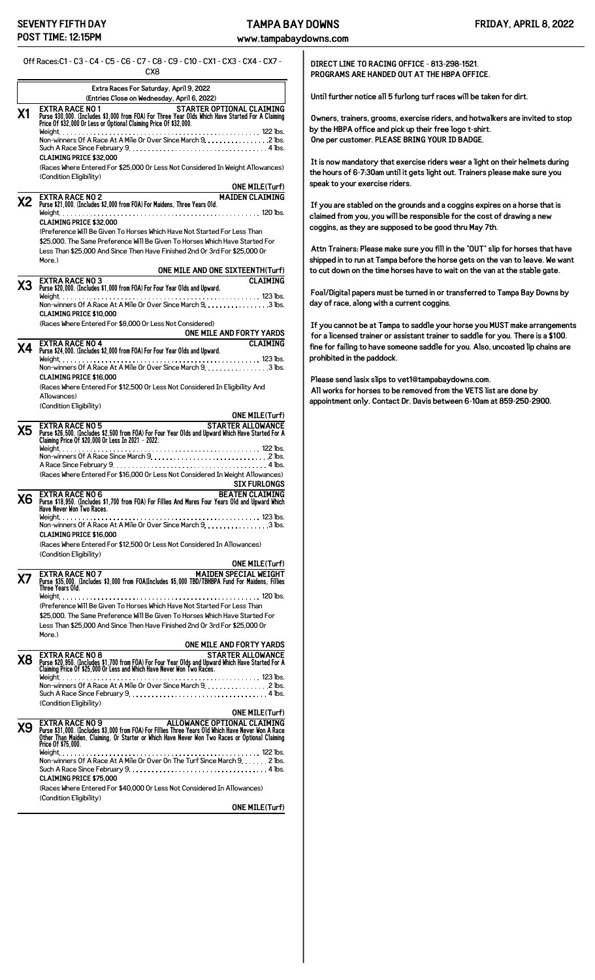**www.tampabaydowns.com**

Off Races:C1 - C3 - C4 - C5 - C6 - C7 - C8 - C9 - C10 - CX1 - CX3 - CX4 - CX7 -

|           | CX8                                                                                                                                                                                                                                                                                  |
|-----------|--------------------------------------------------------------------------------------------------------------------------------------------------------------------------------------------------------------------------------------------------------------------------------------|
|           | Extra Races For Saturday, April 9, 2022                                                                                                                                                                                                                                              |
| Χ1        | (Entries Close on Wednesday, April 6, 2022)<br><b>EXTRA RACE NO 1</b><br>STARTER OPTIONAL CLAIMING<br>Purse \$30,000. (Includes \$3,000 from FOA) For Three Year Olds Which Have Started For A Claiming<br>Price 0f \$32,000 Or Less or Optional Claiming Price 0f \$32,000.         |
|           |                                                                                                                                                                                                                                                                                      |
|           | Non-winners Of A Race At A Mile Or Over Since March 9. 2 lbs.<br>Such A Race Since February $9, \ldots, \ldots, \ldots, \ldots, \ldots, \ldots, \ldots, \ldots, 4$ lbs.                                                                                                              |
|           | <b>CLAIMING PRICE \$32.000</b><br>(Races Where Entered For \$25,000 Or Less Not Considered In Weight Allowances)                                                                                                                                                                     |
|           | (Condition Eligibility)<br><b>ONE MILE(Turf)</b>                                                                                                                                                                                                                                     |
| <b>X2</b> | <b>MAIDEN CLAIMING</b><br><b>EXTRA RACE NO 2</b>                                                                                                                                                                                                                                     |
|           | Purse \$21,000. (Includes \$2,000 from FOA) For Maidens, Three Years Old.                                                                                                                                                                                                            |
|           | <b>CLAIMING PRICE \$32,000</b><br>(Preference Will Be Given To Horses Which Have Not Started For Less Than                                                                                                                                                                           |
|           | \$25,000. The Same Preference Will Be Given To Horses Which Have Started For<br>Less Than \$25,000 And Since Then Have Finished 2nd Or 3rd For \$25,000 Or                                                                                                                           |
|           | More.)<br>ONE MILE AND ONE SIXTEENTH(Turf)                                                                                                                                                                                                                                           |
| X3        | <b>CLAIMING</b><br><b>EXTRA RACE NO 3</b><br>Purse \$20,000. (Includes \$1,000 from FOA) For Four Year Olds and Upward.                                                                                                                                                              |
|           | Non-winners Of A Race At A Mile Or Over Since March 9. 3 lbs.                                                                                                                                                                                                                        |
|           | <b>CLAIMING PRICE \$10,000</b><br>(Races Where Entered For \$8,000 Or Less Not Considered)                                                                                                                                                                                           |
|           | ONE MILE AND FORTY YARDS<br><b>CLAIMING</b><br><b>EXTRA RACE NO 4</b>                                                                                                                                                                                                                |
| Χ4        | Purse \$24,000. (Includes \$2,000 from FOA) For Four Year Olds and Upward.                                                                                                                                                                                                           |
|           | Non-winners Of A Race At A Mile Or Over Since March 9. 3 lbs.<br><b>CLAIMING PRICE \$16,000</b>                                                                                                                                                                                      |
|           | (Races Where Entered For \$12,500 Or Less Not Considered In Eligibility And                                                                                                                                                                                                          |
|           | Allowances)<br>(Condition Eligibility)                                                                                                                                                                                                                                               |
|           | <b>ONE MILE(Turf)</b><br><b>STARTER ALLOWANCE</b><br><b>EXTRA RACE NO 5</b>                                                                                                                                                                                                          |
| Х5        | Purse \$26,500. (Includes \$2,500 from FOA) For Four Year Olds and Upward Which Have Started For A<br>Claiming Price Of \$20,000 Or Less In 2021 - 2022.                                                                                                                             |
|           |                                                                                                                                                                                                                                                                                      |
|           | (Races Where Entered For \$16,000 Or Less Not Considered In Weight Allowances)                                                                                                                                                                                                       |
|           | <b>SIX FURLONGS</b><br><b>BEATEN CLAIMING</b><br><b>EXTRA RACE NO 6</b>                                                                                                                                                                                                              |
| Х6        | DEATER CLAIMING<br>Have Never Won Two Races. 11,700 from FOA) For Fillies And Mares Four Years Old and Upward Which                                                                                                                                                                  |
|           | Non-winners Of A Race At A Mile Or Over Since March 9. 3 lbs.<br><b>CLAIMING PRICE \$16,000</b>                                                                                                                                                                                      |
|           | (Races Where Entered For \$12,500 Or Less Not Considered In Allowances)<br>(Condition Eligibility)                                                                                                                                                                                   |
|           | <b>ONE MILE(Turf)</b>                                                                                                                                                                                                                                                                |
| Х7        | MAIDEN SPECIAL WEIGHT<br><b>EXTRA RACE NO 7</b><br>Purse \$35,000. (Includes \$3,000 from FOA)Includes \$5,000 TBD/TBHBPA Fund For Maidens, Fillies<br>Three Years Old.                                                                                                              |
|           | (Preference Will Be Given To Horses Which Have Not Started For Less Than                                                                                                                                                                                                             |
|           | \$25,000. The Same Preference Will Be Given To Horses Which Have Started For                                                                                                                                                                                                         |
|           | Less Than \$25,000 And Since Then Have Finished 2nd Or 3rd For \$25,000 Or<br>More.)                                                                                                                                                                                                 |
|           | ONE MILE AND FORTY YARDS<br><b>EXTRA RACE NO 8</b><br><b>STARTER ALLOWANCE</b>                                                                                                                                                                                                       |
| Х8        | Purse \$20,950. (Includes \$1,700 from FOA) For Four Year Olds and Upward Which Have Started For A<br>Claiming Price Of \$25,000 Or Less and Which Have Never Won Two Races.                                                                                                         |
|           | Weight.<br>Non-winners Of A Race At A Mile Or Over Since March 9. 2 lbs.                                                                                                                                                                                                             |
|           | Such A Race Since February $9, \ldots, \ldots, \ldots, \ldots, \ldots, \ldots, \ldots, \ldots, 4$ lbs.<br>(Condition Eligibility)                                                                                                                                                    |
|           | <b>ONE MILE(Turf)</b>                                                                                                                                                                                                                                                                |
| Х9        | ALLOWANCE OPTIONAL CLAIMING<br><b>EXTRA RACE NO 9</b><br>Purse \$31,000. (Includes \$3,000 from FOA) For Fillies Three Years Old Which Have Never Won A Race<br>Other Than Maiden, Claiming, Or Starter or Which Have Never Won Two Races or Optional Claiming<br>Price Of \$75,000. |
|           | Non-winners Of A Race At A Mile Or Over On The Turf Since March 9. 2 lbs.                                                                                                                                                                                                            |
|           | Such A Race Since February 9. $\dots\dots\dots\dots\dots\dots\dots\dots\dots\dots\dots\dots$<br><b>CLAIMING PRICE \$75,000</b>                                                                                                                                                       |
|           | (Races Where Entered For \$40,000 Or Less Not Considered In Allowances)<br>(Condition Eligibility)                                                                                                                                                                                   |
|           | <b>ONE MILE(Turf)</b>                                                                                                                                                                                                                                                                |
|           |                                                                                                                                                                                                                                                                                      |

**DIRECT LINE TO RACING OFFICE - 813-298-1521. PROGRAMS ARE HANDED OUT AT THE HBPA OFFICE.**

**Until further notice all 5 furlong turf races will be taken for dirt.**

**Owners, trainers, grooms, exercise riders, and hotwalkers are invited to stop by the HBPA office and pick up their free logo t-shirt. One per customer. PLEASE BRING YOUR ID BADGE.**

**It is now mandatory that exercise riders wear a light on their helmets during the hours of 6-7:30am until it gets light out. Trainers please make sure you speak to your exercise riders.**

**If you are stabled on the grounds and a coggins expires on a horse that is claimed from you, you will be responsible for the cost of drawing a new coggins, as they are supposed to be good thru May 7th.**

**Attn Trainers: Please make sure you fill in the "OUT" slip for horses that have shipped in to run at Tampa before the horse gets on the van to leave. We want to cut down on the time horses have to wait on the van at the stable gate.**

**Foal/Digital papers must be turned in or transferred to Tampa Bay Downs by day of race, along with a current coggins.**

**If you cannot be at Tampa to saddle your horse you MUST make arrangements for a licensed trainer or assistant trainer to saddle for you. There is a \$100. fine for failing to have someone saddle for you. Also, uncoated lip chains are prohibited in the paddock.**

**Please send lasix slips to vet1@tampabaydowns.com. All works for horses to be removed from the VETS list are done by appointment only. Contact Dr. Davis between 6-10am at 859-250-2900.**